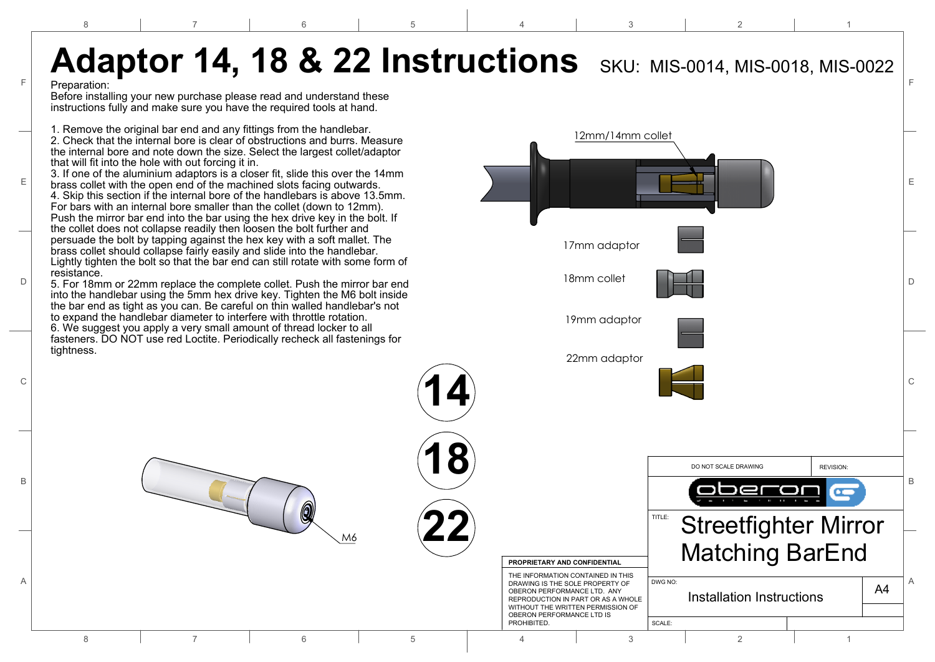4

3

2

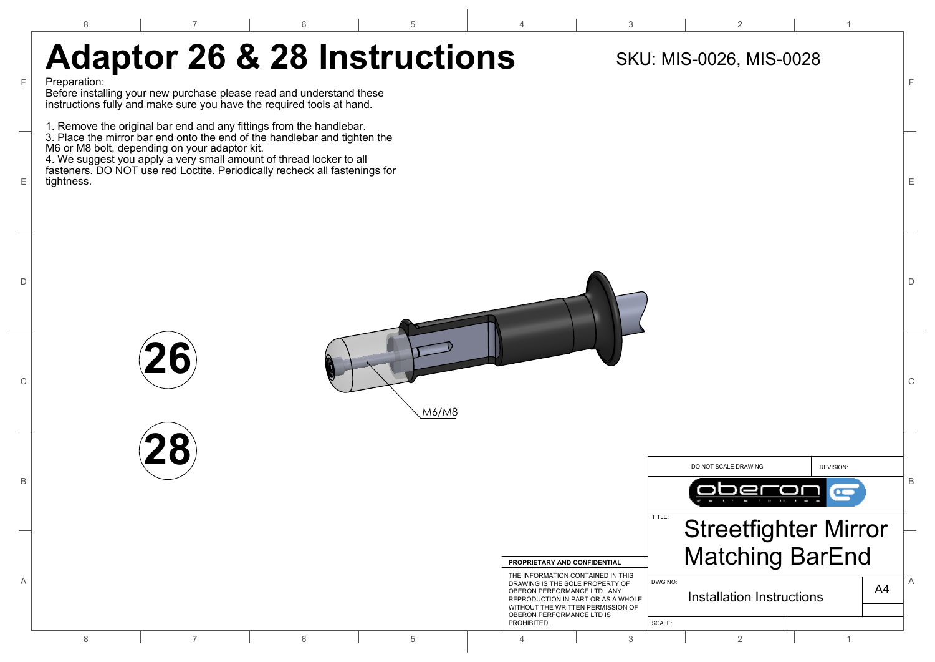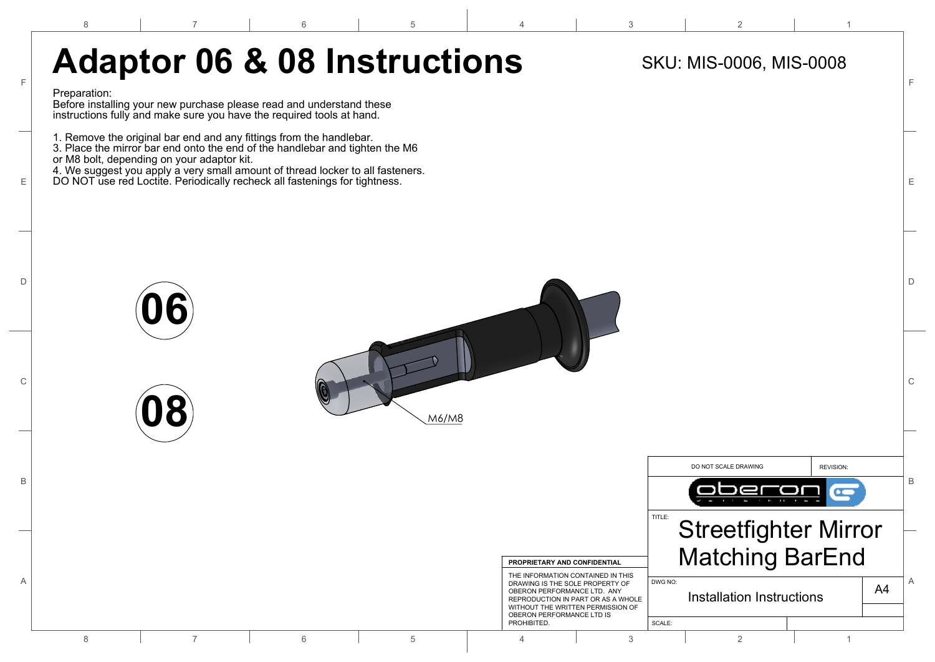5

4

2

1

## F F Adaptor 06 & 08 Instructions SKU: MIS-0006, MIS-0008

6

## Preparation:

8

Before installing your new purchase please read and understand these instructions fully and make sure you have the required tools at hand.

1. Remove the original bar end and any fittings from the handlebar.

3. Place the mirror bar end onto the end of the handlebar and tighten the M6 or M8 bolt, depending on your adaptor kit.

4. We suggest you apply a very small amount of thread locker to all fasteners.

 $\mathsf E~|$   $\quad$  DO NOT use red Loctite. Periodically recheck all fastenings for tightness.  $\vert$   $\in$ 



**08**

7

6



5

4

PROHIBITED.

OBERON PERFORMANCE LTD IS





2

1

SCALE: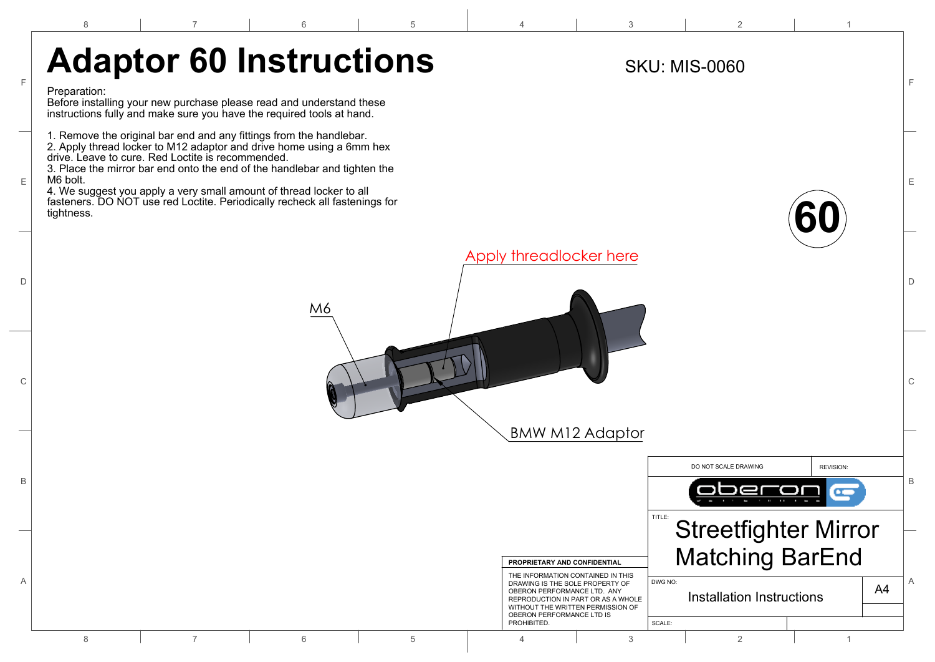